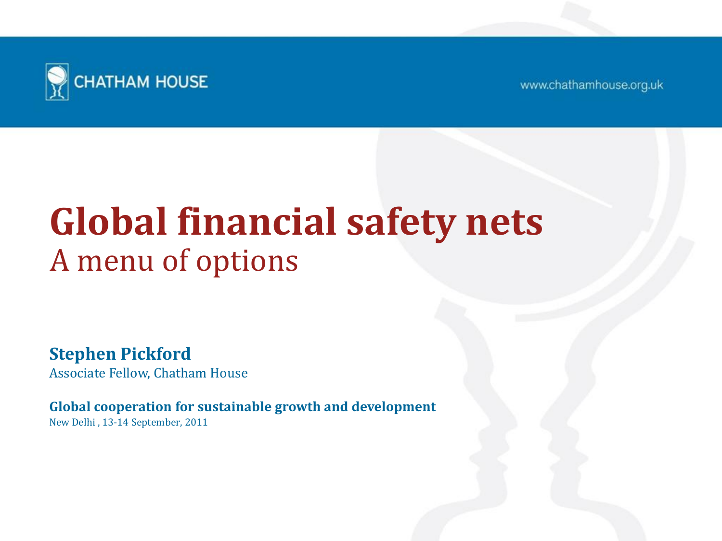

www.chathamhouse.org.uk

### **Global financial safety nets** A menu of options

**Stephen Pickford** Associate Fellow, Chatham House

**Global cooperation for sustainable growth and development** New Delhi , 13-14 September, 2011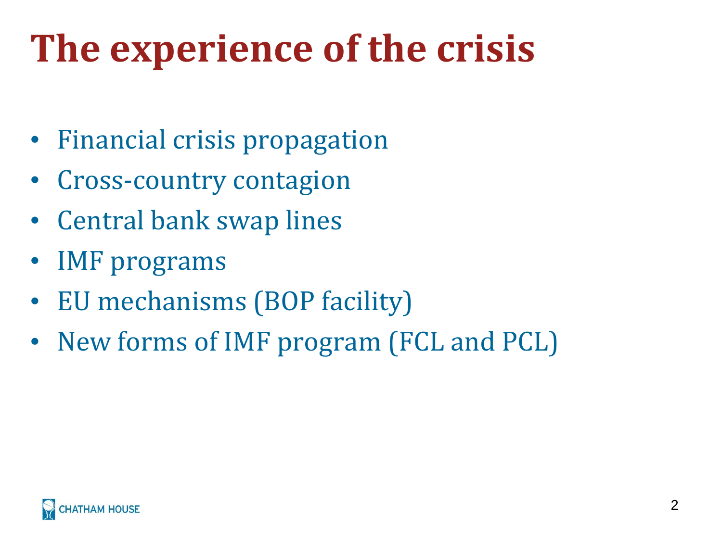## **The experience of the crisis**

- Financial crisis propagation
- Cross-country contagion
- Central bank swap lines
- IMF programs
- EU mechanisms (BOP facility)
- New forms of IMF program (FCL and PCL)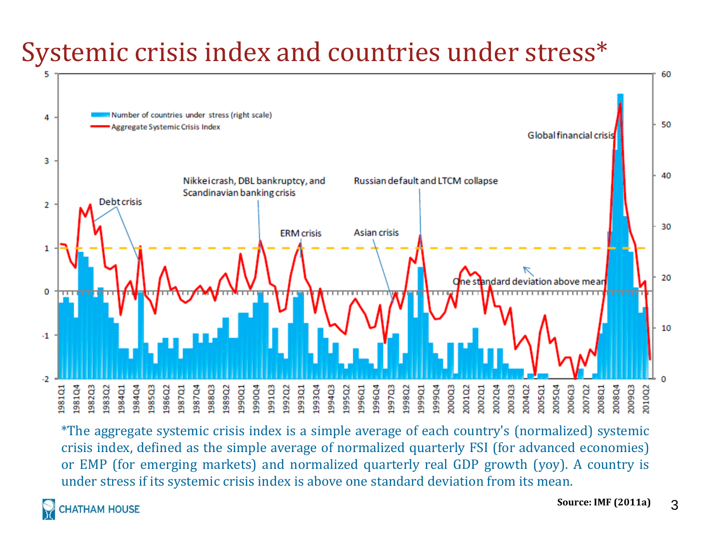#### Systemic crisis index and countries under stress\*



\*The aggregate systemic crisis index is a simple average of each country's (normalized) systemic crisis index, defined as the simple average of normalized quarterly FSI (for advanced economies) or EMP (for emerging markets) and normalized quarterly real GDP growth (yoy). A country is under stress if its systemic crisis index is above one standard deviation from its mean.

**HATHAM HOUSE**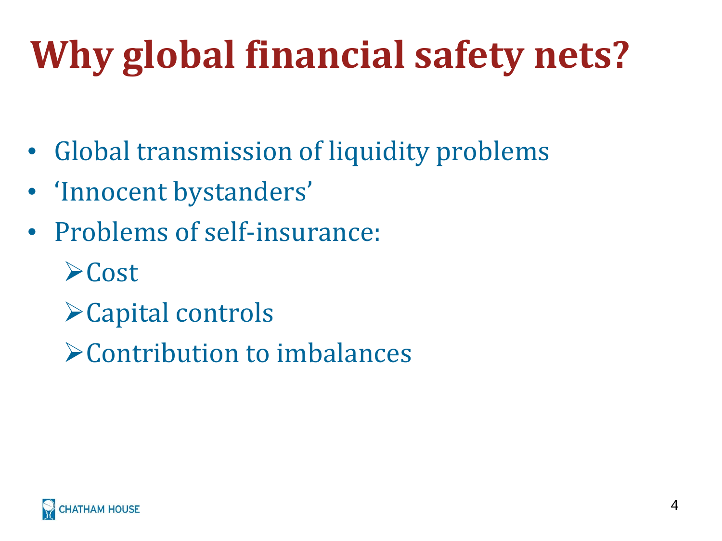# **Why global financial safety nets?**

- Global transmission of liquidity problems
- 'Innocent bystanders'
- Problems of self-insurance:
	- $\triangleright$  Cost
	- Capital controls
	- Contribution to imbalances

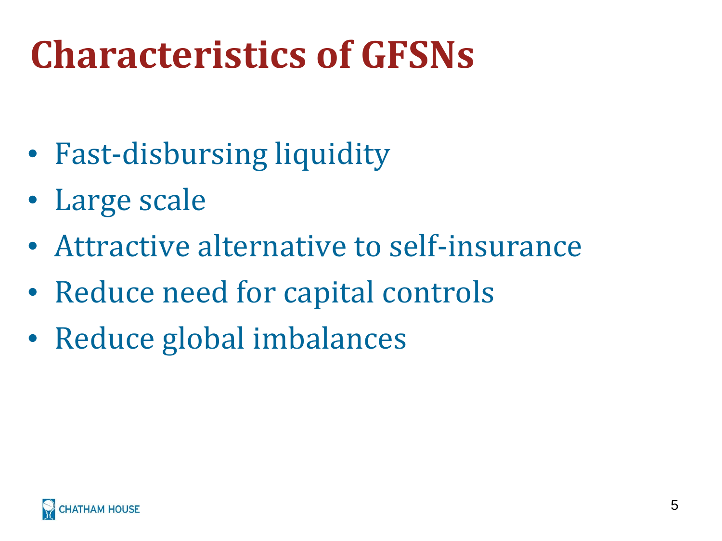## **Characteristics of GFSNs**

- Fast-disbursing liquidity
- Large scale
- Attractive alternative to self-insurance
- Reduce need for capital controls
- Reduce global imbalances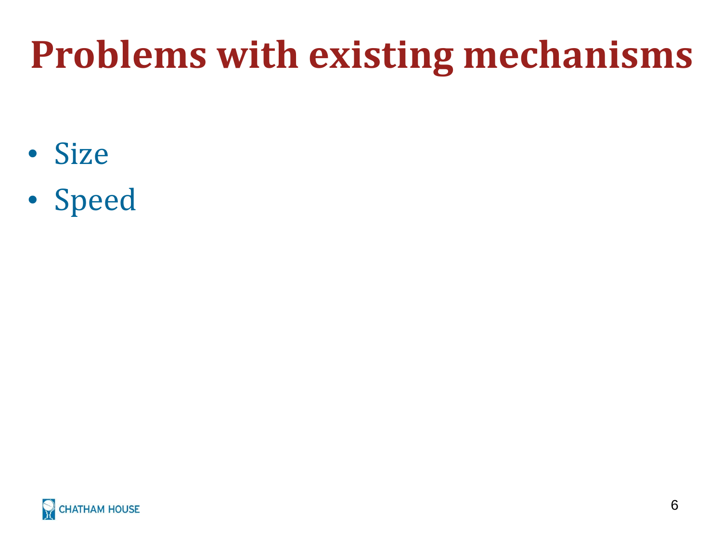## **Problems with existing mechanisms**

- Size
- Speed

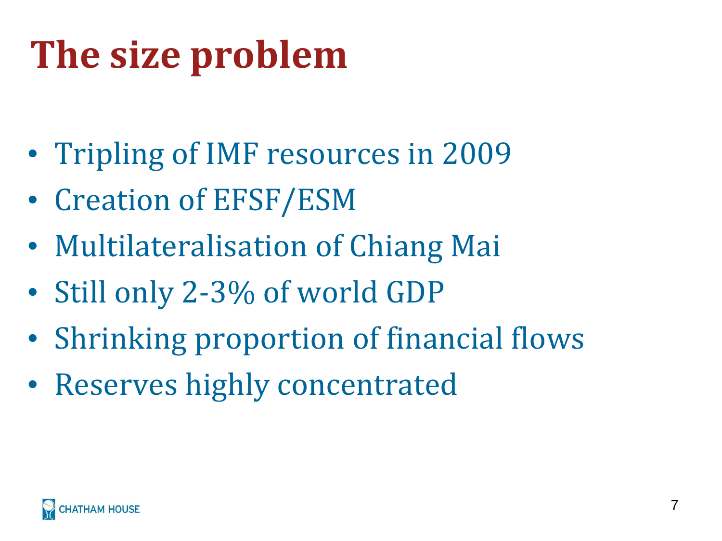# **The size problem**

- Tripling of IMF resources in 2009
- Creation of EFSF/ESM
- Multilateralisation of Chiang Mai
- Still only 2-3% of world GDP
- Shrinking proportion of financial flows
- Reserves highly concentrated

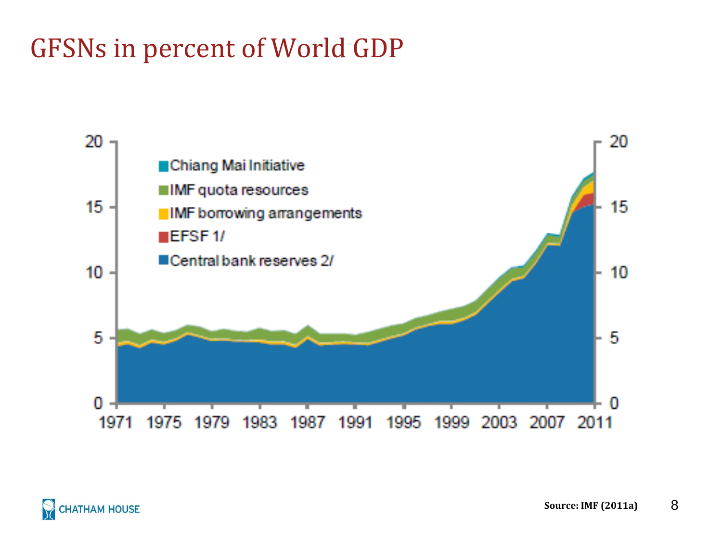#### GFSNs in percent of World GDP

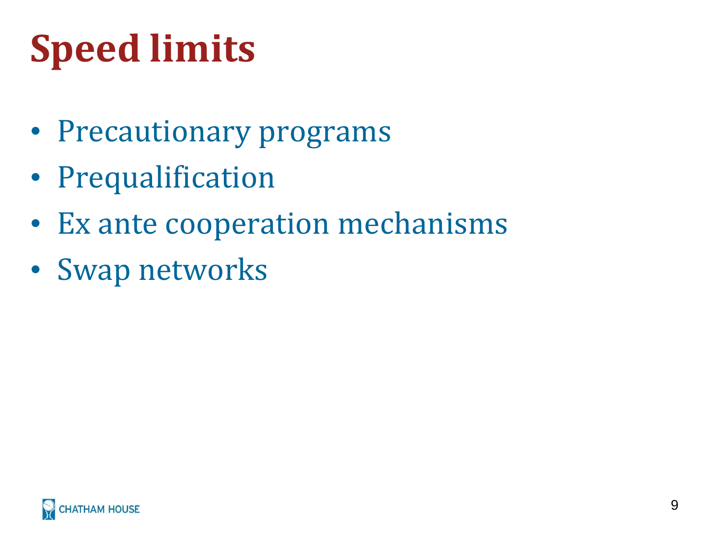# **Speed limits**

- Precautionary programs
- Prequalification
- Ex ante cooperation mechanisms
- Swap networks

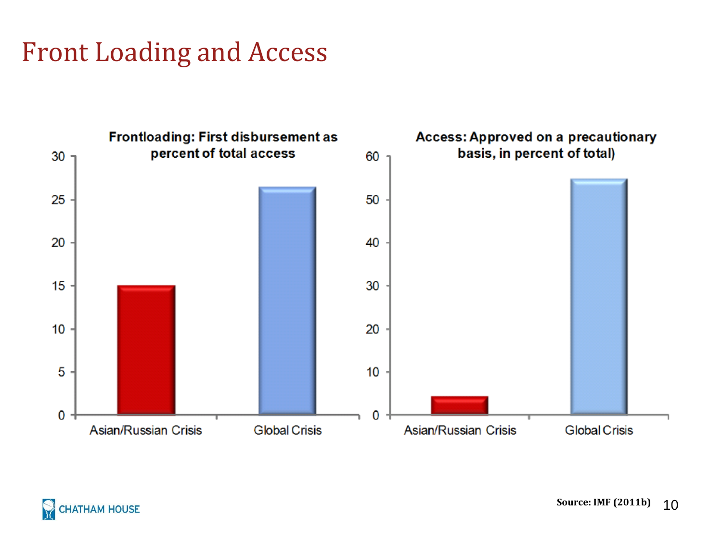#### Front Loading and Access



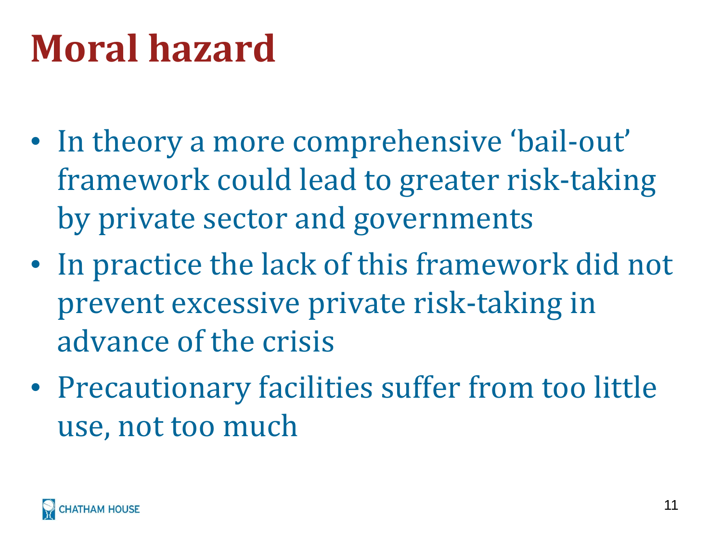### **Moral hazard**

- In theory a more comprehensive 'bail-out' framework could lead to greater risk-taking by private sector and governments
- In practice the lack of this framework did not prevent excessive private risk-taking in advance of the crisis
- Precautionary facilities suffer from too little use, not too much

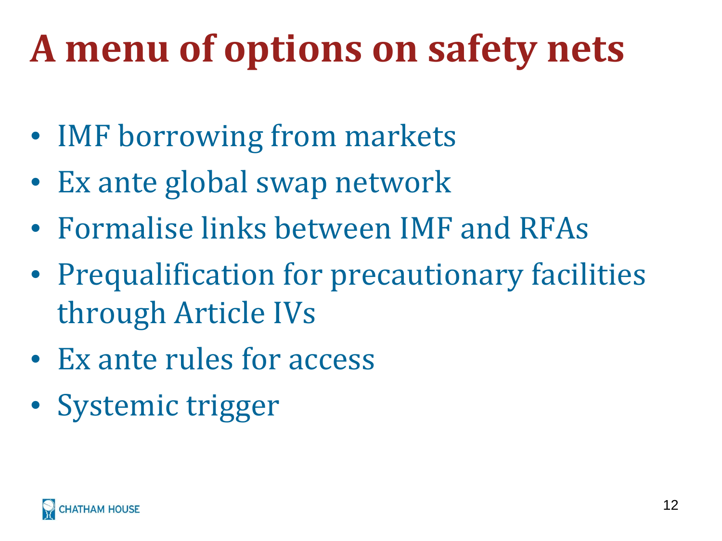## **A menu of options on safety nets**

- IMF borrowing from markets
- Ex ante global swap network
- Formalise links between IMF and RFAs
- Prequalification for precautionary facilities through Article IVs
- Ex ante rules for access
- Systemic trigger